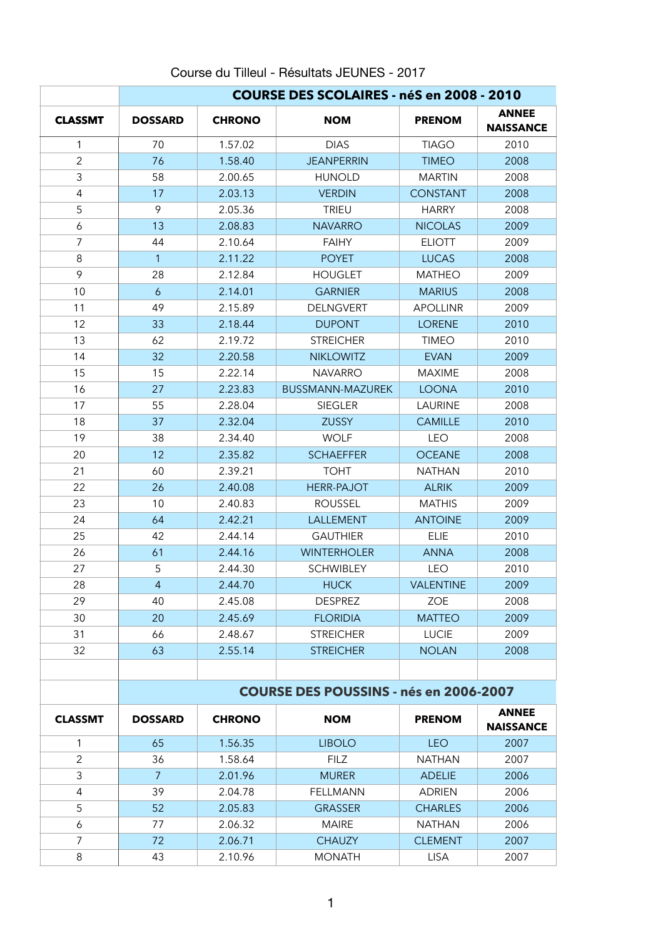## Course du Tilleul - Résultats JEUNES - 2017

|                | <b>COURSE DES SCOLAIRES - néS en 2008 - 2010</b> |                                               |                                      |                 |                                  |
|----------------|--------------------------------------------------|-----------------------------------------------|--------------------------------------|-----------------|----------------------------------|
| <b>CLASSMT</b> | <b>DOSSARD</b>                                   | <b>CHRONO</b>                                 | <b>NOM</b>                           | <b>PRENOM</b>   | <b>ANNEE</b><br><b>NAISSANCE</b> |
| 1              | 70                                               | 1.57.02                                       | <b>DIAS</b>                          | <b>TIAGO</b>    | 2010                             |
| $\overline{2}$ | 76                                               | 1.58.40                                       | <b>JEANPERRIN</b>                    | <b>TIMEO</b>    | 2008                             |
| 3              | 58                                               | 2.00.65                                       | <b>HUNOLD</b>                        | <b>MARTIN</b>   | 2008                             |
| $\overline{4}$ | 17                                               | 2.03.13                                       | <b>VERDIN</b>                        | <b>CONSTANT</b> | 2008                             |
| 5              | 9                                                | 2.05.36                                       | <b>TRIEU</b>                         | <b>HARRY</b>    | 2008                             |
| 6              | 13                                               | 2.08.83                                       | <b>NAVARRO</b>                       | <b>NICOLAS</b>  | 2009                             |
| $\overline{7}$ | 44                                               | 2.10.64                                       | <b>FAIHY</b>                         | <b>ELIOTT</b>   | 2009                             |
| 8              | $\mathbf{1}$                                     | 2.11.22                                       | <b>POYET</b>                         | <b>LUCAS</b>    | 2008                             |
| 9              | 28                                               | 2.12.84                                       | <b>HOUGLET</b>                       | <b>MATHEO</b>   | 2009                             |
| 10             | 6                                                | 2.14.01                                       | <b>GARNIER</b>                       | <b>MARIUS</b>   | 2008                             |
| 11             | 49                                               | 2.15.89                                       | <b>DELNGVERT</b>                     | <b>APOLLINR</b> | 2009                             |
| 12             | 33                                               | 2.18.44                                       | <b>DUPONT</b>                        | <b>LORENE</b>   | 2010                             |
| 13             | 62                                               | 2.19.72                                       | <b>STREICHER</b>                     | <b>TIMEO</b>    | 2010                             |
| 14             | 32                                               | 2.20.58                                       | <b>NIKLOWITZ</b>                     | <b>EVAN</b>     | 2009                             |
| 15             | 15                                               | 2.22.14                                       | <b>NAVARRO</b>                       | <b>MAXIME</b>   | 2008                             |
| 16             | 27                                               | 2.23.83                                       | <b>BUSSMANN-MAZUREK</b>              | <b>LOONA</b>    | 2010                             |
| 17             | 55                                               | 2.28.04                                       | <b>SIEGLER</b>                       | <b>LAURINE</b>  | 2008                             |
| 18             | 37                                               | 2.32.04                                       | <b>ZUSSY</b>                         | <b>CAMILLE</b>  | 2010                             |
| 19             | 38                                               | 2.34.40                                       | <b>WOLF</b>                          | <b>LEO</b>      | 2008                             |
| 20             | 12                                               | 2.35.82                                       | <b>SCHAEFFER</b>                     | <b>OCEANE</b>   | 2008                             |
| 21             | 60                                               | 2.39.21                                       | <b>TOHT</b>                          | <b>NATHAN</b>   | 2010                             |
| 22             | 26                                               | 2.40.08                                       | <b>HERR-PAJOT</b>                    | <b>ALRIK</b>    | 2009                             |
| 23             | 10                                               | 2.40.83                                       | <b>ROUSSEL</b>                       | <b>MATHIS</b>   | 2009                             |
| 24             | 64                                               | 2.42.21                                       | <b>LALLEMENT</b>                     | <b>ANTOINE</b>  | 2009                             |
| 25             | 42                                               | 2.44.14                                       | <b>GAUTHIER</b><br><b>ELIE</b>       |                 | 2010                             |
| 26             | 61                                               | 2.44.16                                       | <b>WINTERHOLER</b><br><b>ANNA</b>    |                 | 2008                             |
| 27             | 5                                                | 2.44.30                                       | <b>SCHWIBLEY</b><br><b>LEO</b>       |                 | 2010                             |
| 28             | $\overline{4}$                                   | 2.44.70                                       | <b>VALENTINE</b><br><b>HUCK</b>      |                 | 2009                             |
| 29             | 40                                               | 2.45.08                                       | <b>DESPREZ</b><br><b>ZOE</b>         |                 | 2008                             |
| 30             | 20                                               | 2.45.69                                       | <b>FLORIDIA</b>                      | <b>MATTEO</b>   | 2009                             |
| 31             | 66                                               | 2.48.67                                       | <b>STREICHER</b><br><b>LUCIE</b>     |                 | 2009                             |
| 32             | 63                                               | 2.55.14                                       | <b>STREICHER</b>                     | <b>NOLAN</b>    | 2008                             |
|                |                                                  |                                               |                                      |                 |                                  |
|                |                                                  | <b>COURSE DES POUSSINS - nés en 2006-2007</b> |                                      |                 |                                  |
| <b>CLASSMT</b> | <b>DOSSARD</b>                                   | <b>CHRONO</b>                                 | <b>NOM</b>                           | <b>PRENOM</b>   | <b>ANNEE</b><br><b>NAISSANCE</b> |
| $\mathbf{1}$   | 65                                               | 1.56.35                                       | <b>LIBOLO</b>                        | <b>LEO</b>      | 2007                             |
| $\overline{2}$ | 36                                               | 1.58.64                                       | <b>FILZ</b><br><b>NATHAN</b>         |                 | 2007                             |
| 3              | $\overline{7}$                                   | 2.01.96                                       | <b>MURER</b>                         | <b>ADELIE</b>   | 2006                             |
| 4              | 39                                               | 2.04.78                                       | <b>FELLMANN</b>                      | <b>ADRIEN</b>   | 2006                             |
| 5              | 52                                               | 2.05.83                                       | <b>GRASSER</b>                       | <b>CHARLES</b>  | 2006                             |
| 6              | 77                                               | 2.06.32                                       | <b>MAIRE</b>                         | <b>NATHAN</b>   | 2006                             |
| 7              | 72                                               | 2.06.71                                       | <b>CHAUZY</b><br><b>CLEMENT</b>      |                 | 2007                             |
| 8              | 43                                               | 2.10.96                                       | <b>MONATH</b><br><b>LISA</b><br>2007 |                 |                                  |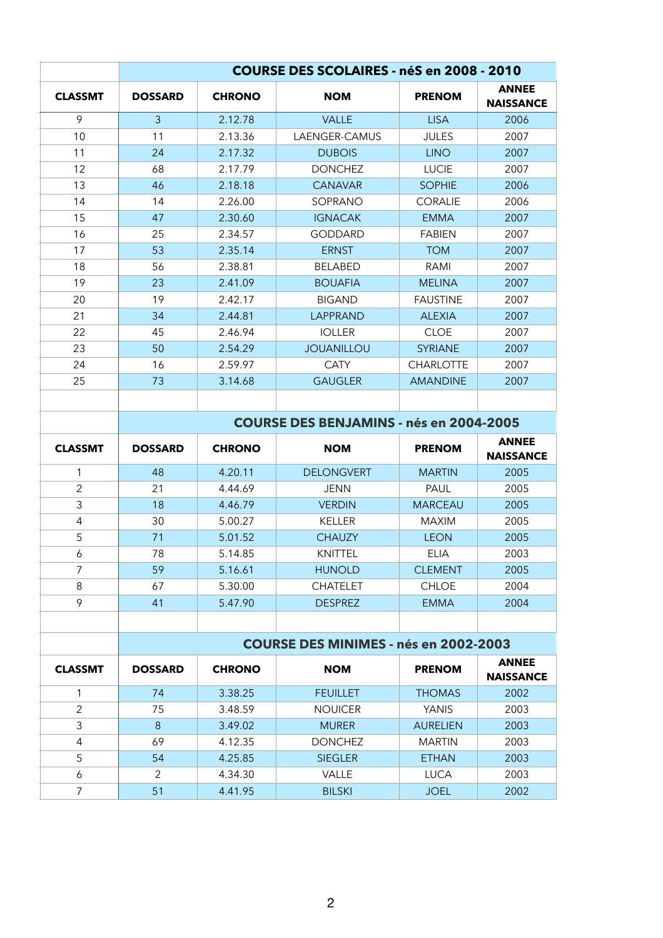|                | <b>COURSE DES SCOLAIRES - néS en 2008 - 2010</b> |                                              |                               |                  |                                  |  |
|----------------|--------------------------------------------------|----------------------------------------------|-------------------------------|------------------|----------------------------------|--|
| <b>CLASSMT</b> | <b>DOSSARD</b>                                   | <b>CHRONO</b>                                | <b>NOM</b>                    | <b>PRENOM</b>    | <b>ANNEE</b><br><b>NAISSANCE</b> |  |
| 9              | $\overline{3}$                                   | 2.12.78                                      | <b>VALLE</b>                  | <b>LISA</b>      | 2006                             |  |
| 10             | 11                                               | 2.13.36                                      | LAENGER-CAMUS                 | <b>JULES</b>     | 2007                             |  |
| 11             | 24                                               | 2.17.32                                      | <b>DUBOIS</b>                 | <b>LINO</b>      | 2007                             |  |
| 12             | 68                                               | 2.17.79                                      | <b>DONCHEZ</b>                | <b>LUCIE</b>     | 2007                             |  |
| 13             | 46                                               | 2.18.18                                      | <b>CANAVAR</b>                | <b>SOPHIE</b>    | 2006                             |  |
| 14             | 14                                               | 2.26.00                                      | SOPRANO                       | <b>CORALIE</b>   | 2006                             |  |
| 15             | 47                                               | 2.30.60                                      | <b>IGNACAK</b>                | <b>EMMA</b>      | 2007                             |  |
| 16             | 25                                               | 2.34.57                                      | <b>GODDARD</b>                | <b>FABIEN</b>    | 2007                             |  |
| 17             | 53                                               | 2.35.14                                      | <b>ERNST</b>                  | <b>TOM</b>       | 2007                             |  |
| 18             | 56                                               | 2.38.81                                      | <b>BELABED</b>                | <b>RAMI</b>      | 2007                             |  |
| 19             | 23                                               | 2.41.09                                      | <b>BOUAFIA</b>                | <b>MELINA</b>    | 2007                             |  |
| 20             | 19                                               | 2.42.17                                      | <b>BIGAND</b>                 | <b>FAUSTINE</b>  | 2007                             |  |
| 21             | 34                                               | 2.44.81                                      | <b>LAPPRAND</b>               | <b>ALEXIA</b>    | 2007                             |  |
| 22             | 45                                               | 2.46.94                                      | <b>IOLLER</b>                 | <b>CLOE</b>      | 2007                             |  |
| 23             | 50                                               | 2.54.29                                      | <b>JOUANILLOU</b>             | <b>SYRIANE</b>   | 2007                             |  |
| 24             | 16                                               | 2.59.97                                      | <b>CATY</b>                   | <b>CHARLOTTE</b> | 2007                             |  |
| 25             | 73                                               | 3.14.68                                      | <b>GAUGLER</b>                | <b>AMANDINE</b>  | 2007                             |  |
|                |                                                  |                                              |                               |                  |                                  |  |
|                | <b>COURSE DES BENJAMINS - nés en 2004-2005</b>   |                                              |                               |                  |                                  |  |
| <b>CLASSMT</b> | <b>DOSSARD</b>                                   | <b>CHRONO</b>                                | <b>NOM</b>                    | <b>PRENOM</b>    | <b>ANNEE</b><br><b>NAISSANCE</b> |  |
| 1              | 48                                               | 4.20.11                                      | <b>DELONGVERT</b>             | <b>MARTIN</b>    | 2005                             |  |
| $\overline{2}$ | 21                                               | 4.44.69                                      | <b>JENN</b>                   | PAUL             | 2005                             |  |
| 3              | 18                                               | 4.46.79                                      | <b>VERDIN</b>                 | <b>MARCEAU</b>   | 2005                             |  |
| $\overline{4}$ | 30                                               | 5.00.27                                      | <b>KELLER</b>                 | <b>MAXIM</b>     | 2005                             |  |
| 5              | 71                                               | 5.01.52                                      | <b>CHAUZY</b>                 | <b>LEON</b>      | 2005                             |  |
| 6              | 78                                               | 5.14.85                                      | <b>KNITTEL</b><br><b>ELIA</b> |                  | 2003                             |  |
| $\overline{7}$ | 59                                               | 5.16.61                                      | <b>HUNOLD</b>                 | <b>CLEMENT</b>   | 2005                             |  |
| 8              | 67                                               | 5.30.00                                      | <b>CHATELET</b>               | <b>CHLOE</b>     | 2004                             |  |
| 9              | 41                                               | 5.47.90                                      | <b>DESPREZ</b>                | <b>EMMA</b>      | 2004                             |  |
|                |                                                  |                                              |                               |                  |                                  |  |
|                |                                                  | <b>COURSE DES MINIMES - nés en 2002-2003</b> |                               |                  |                                  |  |
| <b>CLASSMT</b> | <b>DOSSARD</b>                                   | <b>CHRONO</b>                                | <b>NOM</b>                    | <b>PRENOM</b>    | <b>ANNEE</b><br><b>NAISSANCE</b> |  |
| 1              | 74                                               | 3.38.25                                      | <b>FEUILLET</b>               | <b>THOMAS</b>    | 2002                             |  |
| $\overline{2}$ | 75                                               | 3.48.59                                      | <b>NOUICER</b>                | <b>YANIS</b>     | 2003                             |  |

|   |    | 3.49.02 | <b>MURER</b>   | <b>AURELIEN</b> | 2003 |
|---|----|---------|----------------|-----------------|------|
| 4 | 69 | 4.12.35 | <b>DONCHEZ</b> | <b>MARTIN</b>   | 2003 |
| 5 | 54 | 4.25.85 | <b>SIEGLER</b> | <b>ETHAN</b>    | 2003 |
|   |    | 4.34.30 | <b>VALLE</b>   | <b>LUCA</b>     | 2003 |
|   | 51 | 4.41.95 | <b>BILSKI</b>  | <b>JOEL</b>     | 2002 |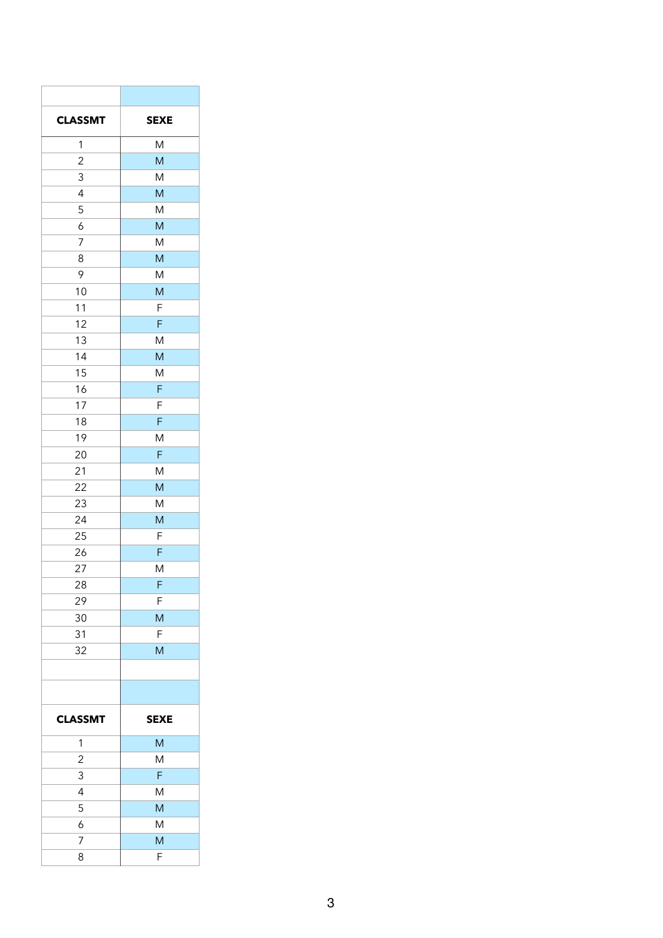| <b>CLASSMT</b>   | <b>SEXE</b>                                                                                                |
|------------------|------------------------------------------------------------------------------------------------------------|
| $\mathbf{1}$     | ${\sf M}$                                                                                                  |
| $\overline{2}$   | ${\sf M}$                                                                                                  |
| $\mathfrak{Z}$   | ${\sf M}$                                                                                                  |
| $\overline{4}$   | ${\sf M}$                                                                                                  |
| 5                | ${\sf M}$                                                                                                  |
| $\boldsymbol{6}$ | ${\sf M}$                                                                                                  |
| $\overline{7}$   | ${\sf M}$                                                                                                  |
| $\,8\,$          | $\mathsf{M}% _{H}=\mathsf{M}_{H}$                                                                          |
| $\mathcal{P}$    | ${\sf M}$                                                                                                  |
| $10$             | ${\sf M}$                                                                                                  |
| 11               | $\mathsf F$                                                                                                |
| 12               | $\mathsf F$                                                                                                |
| 13               | ${\sf M}$                                                                                                  |
|                  |                                                                                                            |
| 14               | ${\sf M}$                                                                                                  |
| 15               | ${\sf M}$                                                                                                  |
| 16               | $\mathsf F$                                                                                                |
| $17$             | $\mathsf F$                                                                                                |
| 18               | $\mathsf F$                                                                                                |
| 19               | ${\sf M}$                                                                                                  |
| $20\,$           | $\mathsf F$                                                                                                |
| 21               | ${\sf M}$                                                                                                  |
| 22               | ${\sf M}$                                                                                                  |
| 23               | ${\sf M}$                                                                                                  |
| 24               | $\mathsf{M}% _{T}=\mathsf{M}_{T}\!\left( a,b\right) ,\ \mathsf{M}_{T}=\mathsf{M}_{T}\!\left( a,b\right) ,$ |
| 25               | $\mathsf F$                                                                                                |
| 26               | $\mathsf F$                                                                                                |
| 27               | ${\sf M}$                                                                                                  |
| 28               | $\mathsf F$                                                                                                |
| 29               | $\mathsf F$                                                                                                |
| $30\,$           | ${\sf M}$                                                                                                  |
| 31               | $\mathsf F$                                                                                                |
| 32               | ${\sf M}$                                                                                                  |
|                  |                                                                                                            |
|                  |                                                                                                            |
| <b>CLASSMT</b>   | <b>SEXE</b>                                                                                                |
| $\mathbf{1}$     | $\mathsf{M}% _{T}=\mathsf{M}_{T}\!\left( a,b\right) ,\ \mathsf{M}_{T}=\mathsf{M}_{T}\!\left( a,b\right) ,$ |
| $\overline{2}$   | ${\sf M}$                                                                                                  |
| $\mathfrak{S}$   | $\mathsf F$                                                                                                |
| $\overline{4}$   | ${\sf M}$                                                                                                  |
| 5                | $\mathsf{M}% _{0}^{\prime}$                                                                                |
| $\overline{6}$   | ${\sf M}$                                                                                                  |
| $\overline{7}$   | $\overline{M}$                                                                                             |
| $\delta$         | $\mathsf F$                                                                                                |
|                  |                                                                                                            |